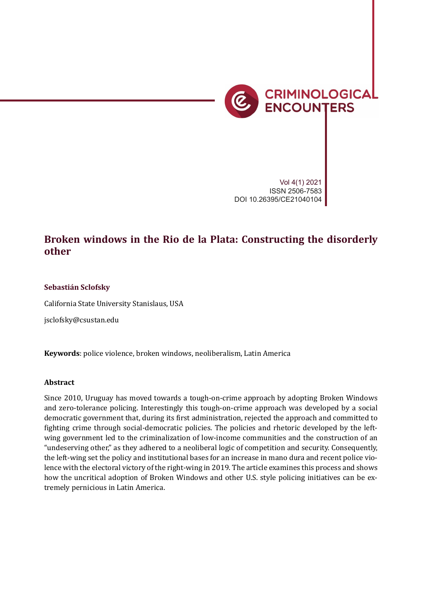

*Operationalizing injustice* 31

Vol 4(1) 2021 ISSN 2506-7583 DOI 10.26395/CE21040104

# **Broken windows in the Rio de la Plata: Constructing the disorderly other**

## **Sebastián Sclofsky**

California State University Stanislaus, USA

jsclofsky@csustan.edu

**Keywords**: police violence, broken windows, neoliberalism, Latin America

#### **Abstract**

Since 2010, Uruguay has moved towards a tough-on-crime approach by adopting Broken Windows and zero-tolerance policing. Interestingly this tough-on-crime approach was developed by a social democratic government that, during its �irst administration, rejected the approach and committed to fighting crime through social-democratic policies. The policies and rhetoric developed by the leftwing government led to the criminalization of low-income communities and the construction of an "undeserving other," as they adhered to a neoliberal logic of competition and security. Consequently, the left-wing set the policy and institutional bases for an increase in mano dura and recent police violence with the electoral victory of the right-wing in 2019. The article examines this process and shows how the uncritical adoption of Broken Windows and other U.S. style policing initiatives can be extremely pernicious in Latin America.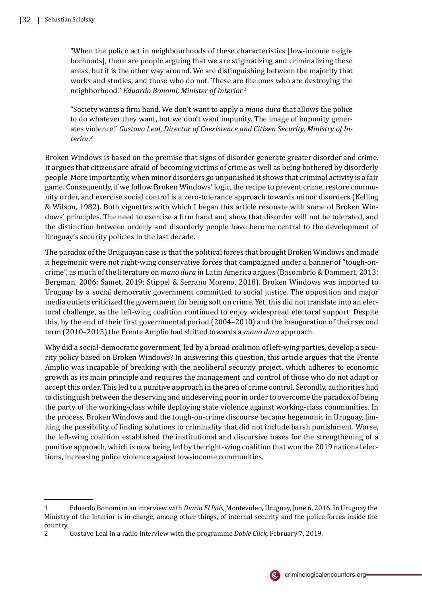"When the police act in neighbourhoods of these characteristics [low-income neighborhoods], there are people arguing that we are stigmatizing and criminalizing these areas, but it is the other way around. We are distinguishing between the majority that works and studies, and those who do not. These are the ones who are destroying the neighborhood." *Eduardo Bonomi, Minister of Interior.<sup>1</sup>*

"Society wants a �irm hand. We don't want to apply a *mano dura* that allows the police to do whatever they want, but we don't want impunity. The image of impunity generates violence." *Gustavo Leal*, *Director of Coexistence and Citizen Security, Ministry of Interior.<sup>2</sup>*

Broken Windows is based on the premise that signs of disorder generate greater disorder and crime. It argues that citizens are afraid of becoming victims of crime as well as being bothered by disorderly people. More importantly, when minor disorders go unpunished it shows that criminal activity is a fair game. Consequently, if we follow Broken Windows' logic, the recipe to prevent crime, restore community order, and exercise social control is a zero-tolerance approach towards minor disorders (Kelling & Wilson, 1982). Both vignettes with which I began this article resonate with some of Broken Windows' principles. The need to exercise a �irm hand and show that disorder will not be tolerated, and the distinction between orderly and disorderly people have become central to the development of Uruguay's security policies in the last decade.

The paradox of the Uruguayan case is that the political forces that brought Broken Windows and made it hegemonic were not right-wing conservative forces that campaigned under a banner of "tough-oncrime", as much of the literature on *mano dura* in Latin America argues (Basombrı́o & Dammert, 2013; Bergman, 2006; Samet, 2019; Stippel & Serrano Moreno, 2018). Broken Windows was imported to Uruguay by a social democratic government committed to social justice. The opposition and major media outlets criticized the government for being soft on crime. Yet, this did not translate into an electoral challenge, as the left-wing coalition continued to enjoy widespread electoral support. Despite this, by the end of their �irst governmental period (2004–2010) and the inauguration of their second term (2010–2015) the Frente Amplio had shifted towards a *mano dura* approach.

Why did a social-democratic government, led by a broad coalition of left-wing parties, develop a security policy based on Broken Windows? In answering this question, this article argues that the Frente Amplio was incapable of breaking with the neoliberal security project, which adheres to economic growth as its main principle and requires the management and control of those who do not adapt or accept this order. This led to a punitive approach in the area of crime control. Secondly, authorities had to distinguish between the deserving and undeserving poor in order to overcome the paradox of being the party of the working-class while deploying state violence against working-class communities. In the process, Broken Windows and the tough-on-crime discourse became hegemonic in Uruguay, limiting the possibility of �inding solutions to criminality that did not include harsh punishment. Worse, the left-wing coalition established the institutional and discursive bases for the strengthening of a punitive approach, which is now being led by the right-wing coalition that won the 2019 national elections, increasing police violence against low-income communities.



<sup>1</sup> Eduardo Bonomi in an interview with *Diario El País,* Montevideo, Uruguay, June 6, 2016. In Uruguay the Ministry of the Interior is in charge, among other things, of internal security and the police forces inside the country.

<sup>2</sup> Gustavo Leal in a radio interview with the programme *Doble Click,* February 7, 2019.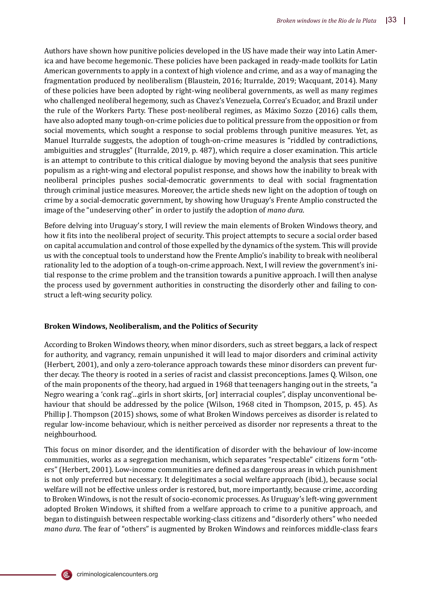Authors have shown how punitive policies developed in the US have made their way into Latin America and have become hegemonic. These policies have been packaged in ready-made toolkits for Latin American governments to apply in a context of high violence and crime, and as a way of managing the fragmentation produced by neoliberalism (Blaustein, 2016; Iturralde, 2019; Wacquant, 2014). Many of these policies have been adopted by right-wing neoliberal governments, as well as many regimes who challenged neoliberal hegemony, such as Chavez's Venezuela, Correa's Ecuador, and Brazil under the rule of the Workers Party. These post-neoliberal regimes, as Máximo Sozzo (2016) calls them, have also adopted many tough-on-crime policies due to political pressure from the opposition or from social movements, which sought a response to social problems through punitive measures. Yet, as Manuel Iturralde suggests, the adoption of tough-on-crime measures is "riddled by contradictions, ambiguities and struggles" (Iturralde, 2019, p. 487), which require a closer examination. This article is an attempt to contribute to this critical dialogue by moving beyond the analysis that sees punitive populism as a right-wing and electoral populist response, and shows how the inability to break with neoliberal principles pushes social-democratic governments to deal with social fragmentation through criminal justice measures. Moreover, the article sheds new light on the adoption of tough on crime by a social-democratic government, by showing how Uruguay's Frente Amplio constructed the image of the "undeserving other" in order to justify the adoption of *mano dura*.

Before delving into Uruguay's story, I will review the main elements of Broken Windows theory, and how it �its into the neoliberal project of security. This project attempts to secure a social order based on capital accumulation and control of those expelled by the dynamics of the system. This will provide us with the conceptual tools to understand how the Frente Amplio's inability to break with neoliberal rationality led to the adoption of a tough-on-crime approach. Next, I will review the government's initial response to the crime problem and the transition towards a punitive approach. I will then analyse the process used by government authorities in constructing the disorderly other and failing to construct a left-wing security policy.

## **Broken Windows, Neoliberalism, and the Politics of Security**

According to Broken Windows theory, when minor disorders, such as street beggars, a lack of respect for authority, and vagrancy, remain unpunished it will lead to major disorders and criminal activity (Herbert, 2001), and only a zero-tolerance approach towards these minor disorders can prevent further decay. The theory is rooted in a series of racist and classist preconceptions. James Q. Wilson, one of the main proponents of the theory, had argued in 1968 that teenagers hanging out in the streets, "a Negro wearing a 'conk rag'…girls in short skirts, [or] interracial couples", display unconventional behaviour that should be addressed by the police (Wilson, 1968 cited in Thompson, 2015, p. 45). As Phillip J. Thompson (2015) shows, some of what Broken Windows perceives as disorder is related to regular low-income behaviour, which is neither perceived as disorder nor represents a threat to the neighbourhood.

This focus on minor disorder, and the identification of disorder with the behaviour of low-income communities, works as a segregation mechanism, which separates "respectable" citizens form "others" (Herbert, 2001). Low-income communities are defined as dangerous areas in which punishment is not only preferred but necessary. It delegitimates a social welfare approach (ibid.), because social welfare will not be effective unless order is restored, but, more importantly, because crime, according to Broken Windows, is not the result of socio-economic processes. As Uruguay's left-wing government adopted Broken Windows, it shifted from a welfare approach to crime to a punitive approach, and began to distinguish between respectable working-class citizens and "disorderly others" who needed *mano dura*. The fear of "others" is augmented by Broken Windows and reinforces middle-class fears

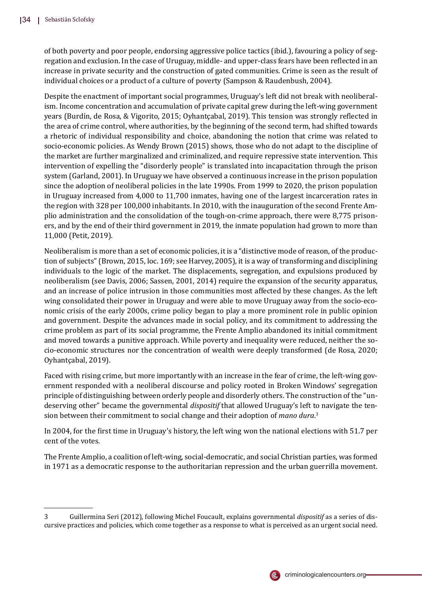of both poverty and poor people, endorsing aggressive police tactics (ibid.), favouring a policy of segregation and exclusion. In the case of Uruguay, middle- and upper-class fears have been reflected in an increase in private security and the construction of gated communities. Crime is seen as the result of individual choices or a product of a culture of poverty (Sampson & Raudenbush, 2004).

Despite the enactment of important social programmes, Uruguay's left did not break with neoliberalism. Income concentration and accumulation of private capital grew during the left-wing government years (Burdín, de Rosa, & Vigorito, 2015; Oyhantçabal, 2019). This tension was strongly reflected in the area of crime control, where authorities, by the beginning of the second term, had shifted towards a rhetoric of individual responsibility and choice, abandoning the notion that crime was related to socio-economic policies. As Wendy Brown (2015) shows, those who do not adapt to the discipline of the market are further marginalized and criminalized, and require repressive state intervention. This intervention of expelling the "disorderly people" is translated into incapacitation through the prison system (Garland, 2001). In Uruguay we have observed a continuous increase in the prison population since the adoption of neoliberal policies in the late 1990s. From 1999 to 2020, the prison population in Uruguay increased from 4,000 to 11,700 inmates, having one of the largest incarceration rates in the region with 328 per 100,000 inhabitants. In 2010, with the inauguration of the second Frente Amplio administration and the consolidation of the tough-on-crime approach, there were 8,775 prisoners, and by the end of their third government in 2019, the inmate population had grown to more than 11,000 (Petit, 2019).

Neoliberalism is more than a set of economic policies, it is a "distinctive mode of reason, of the production of subjects" (Brown, 2015, loc. 169; see Harvey, 2005), it is a way of transforming and disciplining individuals to the logic of the market. The displacements, segregation, and expulsions produced by neoliberalism (see Davis, 2006; Sassen, 2001, 2014) require the expansion of the security apparatus, and an increase of police intrusion in those communities most affected by these changes. As the left wing consolidated their power in Uruguay and were able to move Uruguay away from the socio-economic crisis of the early 2000s, crime policy began to play a more prominent role in public opinion and government. Despite the advances made in social policy, and its commitment to addressing the crime problem as part of its social programme, the Frente Amplio abandoned its initial commitment and moved towards a punitive approach. While poverty and inequality were reduced, neither the socio-economic structures nor the concentration of wealth were deeply transformed (de Rosa, 2020; Oyhantçabal, 2019).

Faced with rising crime, but more importantly with an increase in the fear of crime, the left-wing government responded with a neoliberal discourse and policy rooted in Broken Windows' segregation principle of distinguishing between orderly people and disorderly others. The construction of the "undeserving other" became the governmental *dispositif* that allowed Uruguay's left to navigate the tension between their commitment to social change and their adoption of *mano dura*. 3

In 2004, for the �irst time in Uruguay's history, the left wing won the national elections with 51.7 per cent of the votes.

The Frente Amplio, a coalition of left-wing, social-democratic, and social Christian parties, was formed in 1971 as a democratic response to the authoritarian repression and the urban guerrilla movement.



<sup>3</sup> Guillermina Seri (2012), following Michel Foucault, explains governmental *dispositif* as a series of discursive practices and policies, which come together as a response to what is perceived as an urgent social need.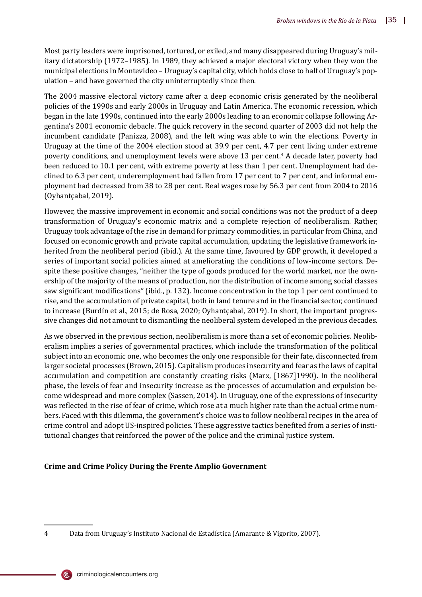Most party leaders were imprisoned, tortured, or exiled, and many disappeared during Uruguay's military dictatorship (1972–1985). In 1989, they achieved a major electoral victory when they won the municipal elections in Montevideo – Uruguay's capital city, which holds close to half of Uruguay's population – and have governed the city uninterruptedly since then.

The 2004 massive electoral victory came after a deep economic crisis generated by the neoliberal policies of the 1990s and early 2000s in Uruguay and Latin America. The economic recession, which began in the late 1990s, continued into the early 2000s leading to an economic collapse following Argentina's 2001 economic debacle. The quick recovery in the second quarter of 2003 did not help the incumbent candidate (Panizza, 2008), and the left wing was able to win the elections. Poverty in Uruguay at the time of the 2004 election stood at 39.9 per cent, 4.7 per cent living under extreme poverty conditions, and unemployment levels were above 13 per cent.<sup>4</sup> A decade later, poverty had been reduced to 10.1 per cent, with extreme poverty at less than 1 per cent. Unemployment had declined to 6.3 per cent, underemployment had fallen from 17 per cent to 7 per cent, and informal employment had decreased from 38 to 28 per cent. Real wages rose by 56.3 per cent from 2004 to 2016 (Oyhantçabal, 2019).

However, the massive improvement in economic and social conditions was not the product of a deep transformation of Uruguay's economic matrix and a complete rejection of neoliberalism. Rather, Uruguay took advantage of the rise in demand for primary commodities, in particular from China, and focused on economic growth and private capital accumulation, updating the legislative framework inherited from the neoliberal period (ibid.). At the same time, favoured by GDP growth, it developed a series of important social policies aimed at ameliorating the conditions of low-income sectors. Despite these positive changes, "neither the type of goods produced for the world market, nor the ownership of the majority of the means of production, nor the distribution of income among social classes saw significant modifications" (ibid., p. 132). Income concentration in the top 1 per cent continued to rise, and the accumulation of private capital, both in land tenure and in the financial sector, continued to increase (Burdín et al., 2015; de Rosa, 2020; Oyhantçabal, 2019). In short, the important progressive changes did not amount to dismantling the neoliberal system developed in the previous decades.

As we observed in the previous section, neoliberalism is more than a set of economic policies. Neoliberalism implies a series of governmental practices, which include the transformation of the political subject into an economic one, who becomes the only one responsible for their fate, disconnected from larger societal processes (Brown, 2015). Capitalism produces insecurity and fear as the laws of capital accumulation and competition are constantly creating risks (Marx, [1867]1990). In the neoliberal phase, the levels of fear and insecurity increase as the processes of accumulation and expulsion become widespread and more complex (Sassen, 2014). In Uruguay, one of the expressions of insecurity was reflected in the rise of fear of crime, which rose at a much higher rate than the actual crime numbers. Faced with this dilemma, the government's choice was to follow neoliberal recipes in the area of crime control and adopt US-inspired policies. These aggressive tactics bene�ited from a series of institutional changes that reinforced the power of the police and the criminal justice system.

# **Crime and Crime Policy During the Frente Amplio Government**

(@,

<sup>4</sup> Data from Uruguay's Instituto Nacional de Estadı́stica (Amarante & Vigorito, 2007).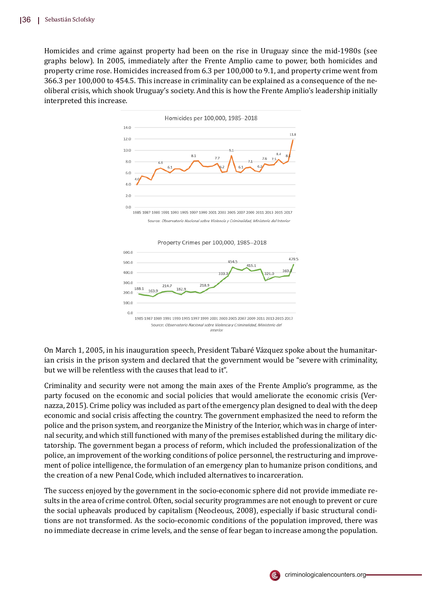Homicides and crime against property had been on the rise in Uruguay since the mid-1980s (see graphs below). In 2005, immediately after the Frente Amplio came to power, both homicides and property crime rose. Homicides increased from 6.3 per 100,000 to 9.1, and property crime went from 366.3 per 100,000 to 454.5. This increase in criminality can be explained as a consequence of the neoliberal crisis, which shook Uruguay's society. And this is how the Frente Amplio's leadership initially interpreted this increase.



.<br>Durce: *Observatorio Nacional sobre Violencia y Criminalidad, Ministerio del Inte* 



On March 1, 2005, in his inauguration speech, President Tabaré Vázquez spoke about the humanitarian crisis in the prison system and declared that the government would be "severe with criminality, but we will be relentless with the causes that lead to it".

Criminality and security were not among the main axes of the Frente Amplio's programme, as the party focused on the economic and social policies that would ameliorate the economic crisis (Vernazza, 2015). Crime policy was included as part of the emergency plan designed to deal with the deep economic and social crisis affecting the country. The government emphasized the need to reform the police and the prison system, and reorganize the Ministry of the Interior, which was in charge of internal security, and which still functioned with many of the premises established during the military dictatorship. The government began a process of reform, which included the professionalization of the police, an improvement of the working conditions of police personnel, the restructuring and improvement of police intelligence, the formulation of an emergency plan to humanize prison conditions, and the creation of a new Penal Code, which included alternatives to incarceration.

The success enjoyed by the government in the socio-economic sphere did not provide immediate results in the area of crime control. Often, social security programmes are not enough to prevent or cure the social upheavals produced by capitalism (Neocleous, 2008), especially if basic structural conditions are not transformed. As the socio-economic conditions of the population improved, there was no immediate decrease in crime levels, and the sense of fear began to increase among the population.

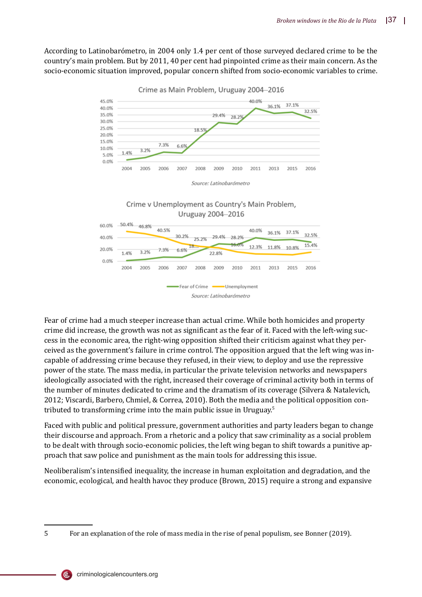According to Latinobarómetro, in 2004 only 1.4 per cent of those surveyed declared crime to be the country's main problem. But by 2011, 40 per cent had pinpointed crime as their main concern. As the socio-economic situation improved, popular concern shifted from socio-economic variables to crime.



Crime as Main Problem, Uruguay 2004-2016





Fear of crime had a much steeper increase than actual crime. While both homicides and property crime did increase, the growth was not as signi�icant as the fear of it. Faced with the left-wing success in the economic area, the right-wing opposition shifted their criticism against what they perceived as the government's failure in crime control. The opposition argued that the left wing was incapable of addressing crime because they refused, in their view, to deploy and use the repressive power of the state. The mass media, in particular the private television networks and newspapers ideologically associated with the right, increased their coverage of criminal activity both in terms of the number of minutes dedicated to crime and the dramatism of its coverage (Silvera & Natalevich, 2012; Viscardi, Barbero, Chmiel, & Correa, 2010). Both the media and the political opposition contributed to transforming crime into the main public issue in Uruguay.<sup>5</sup>

Faced with public and political pressure, government authorities and party leaders began to change their discourse and approach. From a rhetoric and a policy that saw criminality as a social problem to be dealt with through socio-economic policies, the left wing began to shift towards a punitive approach that saw police and punishment as the main tools for addressing this issue.

Neoliberalism's intensi�ied inequality, the increase in human exploitation and degradation, and the economic, ecological, and health havoc they produce (Brown, 2015) require a strong and expansive



 $\overline{c}$ .

<sup>5</sup> For an explanation of the role of mass media in the rise of penal populism, see Bonner (2019).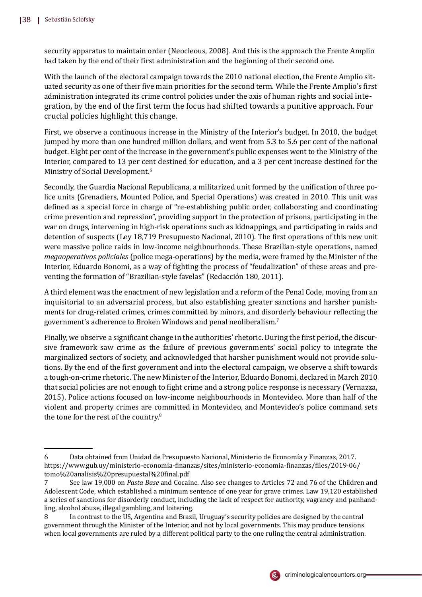security apparatus to maintain order (Neocleous, 2008). And this is the approach the Frente Amplio had taken by the end of their first administration and the beginning of their second one.

With the launch of the electoral campaign towards the 2010 national election, the Frente Amplio situated security as one of their five main priorities for the second term. While the Frente Amplio's first administration integrated its crime control policies under the axis of human rights and social integration, by the end of the �irst term the focus had shifted towards a punitive approach. Four crucial policies highlight this change.

First, we observe a continuous increase in the Ministry of the Interior's budget. In 2010, the budget jumped by more than one hundred million dollars, and went from 5.3 to 5.6 per cent of the national budget. Eight per cent of the increase in the government's public expenses went to the Ministry of the Interior, compared to 13 per cent destined for education, and a 3 per cent increase destined for the Ministry of Social Development.<sup>6</sup>

Secondly, the Guardia Nacional Republicana, a militarized unit formed by the unification of three police units (Grenadiers, Mounted Police, and Special Operations) was created in 2010. This unit was defined as a special force in charge of "re-establishing public order, collaborating and coordinating crime prevention and repression", providing support in the protection of prisons, participating in the war on drugs, intervening in high-risk operations such as kidnappings, and participating in raids and detention of suspects (Ley 18,719 Presupuesto Nacional, 2010). The first operations of this new unit were massive police raids in low-income neighbourhoods. These Brazilian-style operations, named *megaoperativos policiales* (police mega-operations) by the media, were framed by the Minister of the Interior, Eduardo Bonomi, as a way of fighting the process of "feudalization" of these areas and preventing the formation of "Brazilian-style favelas" (Redacción 180, 2011).

A third element was the enactment of new legislation and a reform of the Penal Code, moving from an inquisitorial to an adversarial process, but also establishing greater sanctions and harsher punishments for drug-related crimes, crimes committed by minors, and disorderly behaviour reflecting the government's adherence to Broken Windows and penal neoliberalism.<sup>7</sup>

Finally, we observe a significant change in the authorities' rhetoric. During the first period, the discursive framework saw crime as the failure of previous governments' social policy to integrate the marginalized sectors of society, and acknowledged that harsher punishment would not provide solutions. By the end of the �irst government and into the electoral campaign, we observe a shift towards a tough-on-crime rhetoric. The new Minister of the Interior, Eduardo Bonomi, declared in March 2010 that social policies are not enough to �ight crime and a strong police response is necessary (Vernazza, 2015). Police actions focused on low-income neighbourhoods in Montevideo. More than half of the violent and property crimes are committed in Montevideo, and Montevideo's police command sets the tone for the rest of the country.<sup>8</sup>



<sup>6</sup> Data obtained from Unidad de Presupuesto Nacional, Ministerio de Economı́a y Finanzas, 2017. https://www.gub.uy/ministerio-economia-�inanzas/sites/ministerio-economia-�inanzas/�iles/2019-06/ tomo%20analisis%20presupuestal%20�inal.pdf

<sup>7</sup> See law 19,000 on *Pasta Base* and Cocaine. Also see changes to Articles 72 and 76 of the Children and Adolescent Code, which established a minimum sentence of one year for grave crimes. Law 19,120 established a series of sanctions for disorderly conduct, including the lack of respect for authority, vagrancy and panhandling, alcohol abuse, illegal gambling, and loitering.

<sup>8</sup> In contrast to the US, Argentina and Brazil, Uruguay's security policies are designed by the central government through the Minister of the Interior, and not by local governments. This may produce tensions when local governments are ruled by a different political party to the one ruling the central administration.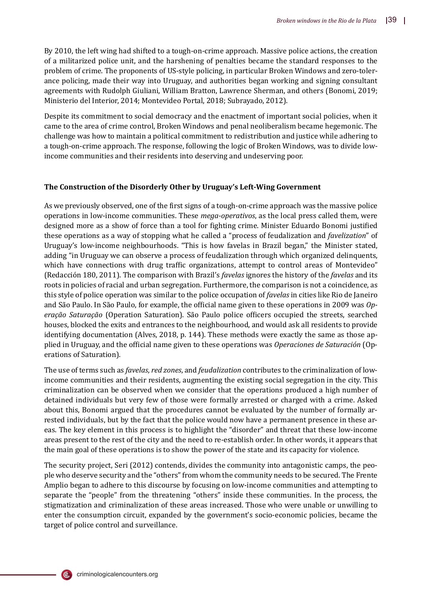By 2010, the left wing had shifted to a tough-on-crime approach. Massive police actions, the creation of a militarized police unit, and the harshening of penalties became the standard responses to the problem of crime. The proponents of US-style policing, in particular Broken Windows and zero-tolerance policing, made their way into Uruguay, and authorities began working and signing consultant agreements with Rudolph Giuliani, William Bratton, Lawrence Sherman, and others (Bonomi, 2019; Ministerio del Interior, 2014; Montevideo Portal, 2018; Subrayado, 2012).

Despite its commitment to social democracy and the enactment of important social policies, when it came to the area of crime control, Broken Windows and penal neoliberalism became hegemonic. The challenge was how to maintain a political commitment to redistribution and justice while adhering to a tough-on-crime approach. The response, following the logic of Broken Windows, was to divide lowincome communities and their residents into deserving and undeserving poor.

## **The Construction of the Disorderly Other by Uruguay's Left-Wing Government**

As we previously observed, one of the first signs of a tough-on-crime approach was the massive police operations in low-income communities. These *mega-operativos*, as the local press called them, were designed more as a show of force than a tool for fighting crime. Minister Eduardo Bonomi justified these operations as a way of stopping what he called a "process of feudalization and *favelization*" of Uruguay's low-income neighbourhoods. "This is how favelas in Brazil began," the Minister stated, adding "in Uruguay we can observe a process of feudalization through which organized delinquents, which have connections with drug traffic organizations, attempt to control areas of Montevideo" (Redacció n 180, 2011). The comparison with Brazil's *favelas* ignores the history of the *favelas* and its roots in policies of racial and urban segregation. Furthermore, the comparison is not a coincidence, as this style of police operation was similar to the police occupation of *favelas* in cities like Rio de Janeiro and São Paulo. In São Paulo, for example, the official name given to these operations in 2009 was *Op*eração Saturação (Operation Saturation). São Paulo police officers occupied the streets, searched houses, blocked the exits and entrances to the neighbourhood, and would ask all residents to provide identifying documentation (Alves, 2018, p. 144). These methods were exactly the same as those applied in Uruguay, and the official name given to these operations was *Operaciones de Saturación* (Operations of Saturation).

The use of terms such as *favelas*, *red zones*, and *feudalization* contributes to the criminalization of lowincome communities and their residents, augmenting the existing social segregation in the city. This criminalization can be observed when we consider that the operations produced a high number of detained individuals but very few of those were formally arrested or charged with a crime. Asked about this, Bonomi argued that the procedures cannot be evaluated by the number of formally arrested individuals, but by the fact that the police would now have a permanent presence in these areas. The key element in this process is to highlight the "disorder" and threat that these low-income areas present to the rest of the city and the need to re-establish order. In other words, it appears that the main goal of these operations is to show the power of the state and its capacity for violence.

The security project, Seri (2012) contends, divides the community into antagonistic camps, the people who deserve security and the "others" from whom the community needs to be secured. The Frente Amplio began to adhere to this discourse by focusing on low-income communities and attempting to separate the "people" from the threatening "others" inside these communities. In the process, the stigmatization and criminalization of these areas increased. Those who were unable or unwilling to enter the consumption circuit, expanded by the government's socio-economic policies, became the target of police control and surveillance.

criminologicalencounters.org

(Ē,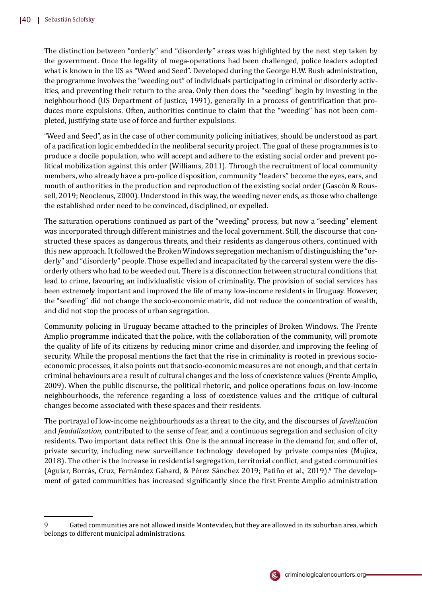The distinction between "orderly" and "disorderly" areas was highlighted by the next step taken by the government. Once the legality of mega-operations had been challenged, police leaders adopted what is known in the US as "Weed and Seed". Developed during the George H.W. Bush administration, the programme involves the "weeding out" of individuals participating in criminal or disorderly activities, and preventing their return to the area. Only then does the "seeding" begin by investing in the neighbourhood (US Department of Justice, 1991), generally in a process of gentri�ication that produces more expulsions. Often, authorities continue to claim that the "weeding" has not been completed, justifying state use of force and further expulsions.

"Weed and Seed", as in the case of other community policing initiatives, should be understood as part of a paci�ication logic embedded in the neoliberal security project. The goal of these programmes is to produce a docile population, who will accept and adhere to the existing social order and prevent political mobilization against this order (Williams, 2011). Through the recruitment of local community members, who already have a pro-police disposition, community "leaders" become the eyes, ears, and mouth of authorities in the production and reproduction of the existing social order (Gascón & Roussell, 2019; Neocleous, 2000). Understood in this way, the weeding never ends, as those who challenge the established order need to be convinced, disciplined, or expelled.

The saturation operations continued as part of the "weeding" process, but now a "seeding" element was incorporated through different ministries and the local government. Still, the discourse that constructed these spaces as dangerous threats, and their residents as dangerous others, continued with this new approach. It followed the Broken Windows segregation mechanism of distinguishing the "orderly" and "disorderly" people. Those expelled and incapacitated by the carceral system were the disorderly others who had to be weeded out. There is a disconnection between structural conditions that lead to crime, favouring an individualistic vision of criminality. The provision of social services has been extremely important and improved the life of many low-income residents in Uruguay. However, the "seeding" did not change the socio-economic matrix, did not reduce the concentration of wealth, and did not stop the process of urban segregation.

Community policing in Uruguay became attached to the principles of Broken Windows. The Frente Amplio programme indicated that the police, with the collaboration of the community, will promote the quality of life of its citizens by reducing minor crime and disorder, and improving the feeling of security. While the proposal mentions the fact that the rise in criminality is rooted in previous socioeconomic processes, it also points out that socio-economic measures are not enough, and that certain criminal behaviours are a result of cultural changes and the loss of coexistence values (Frente Amplio, 2009). When the public discourse, the political rhetoric, and police operations focus on low-income neighbourhoods, the reference regarding a loss of coexistence values and the critique of cultural changes become associated with these spaces and their residents.

The portrayal of low-income neighbourhoods as a threat to the city, and the discourses of *favelization* and *feudalization*, contributed to the sense of fear, and a continuous segregation and seclusion of city residents. Two important data reflect this. One is the annual increase in the demand for, and offer of, private security, including new surveillance technology developed by private companies (Mujica, 2018). The other is the increase in residential segregation, territorial conflict, and gated communities (Aguiar, Borrás, Cruz, Fernández Gabard, & Pérez Sánchez 2019; Patiño et al., 2019).<sup>9</sup> The development of gated communities has increased significantly since the first Frente Amplio administration



<sup>9</sup> Gated communities are not allowed inside Montevideo, but they are allowed in its suburban area, which belongs to different municipal administrations.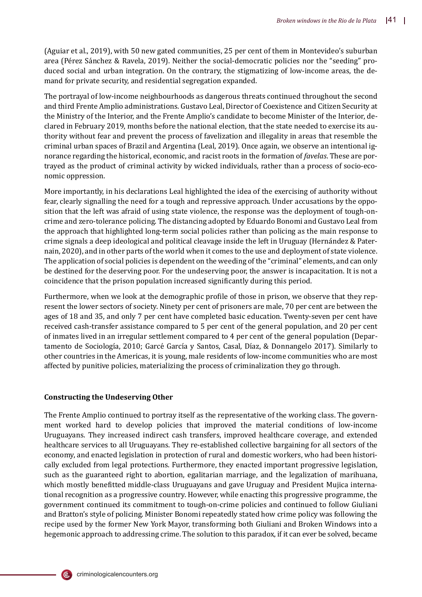(Aguiar et al., 2019), with 50 new gated communities, 25 per cent of them in Montevideo's suburban area (Pérez Sánchez & Ravela, 2019). Neither the social-democratic policies nor the "seeding" produced social and urban integration. On the contrary, the stigmatizing of low-income areas, the demand for private security, and residential segregation expanded.

The portrayal of low-income neighbourhoods as dangerous threats continued throughout the second and third Frente Amplio administrations. Gustavo Leal, Director of Coexistence and Citizen Security at the Ministry of the Interior, and the Frente Amplio's candidate to become Minister of the Interior, declared in February 2019, months before the national election, that the state needed to exercise its authority without fear and prevent the process of favelization and illegality in areas that resemble the criminal urban spaces of Brazil and Argentina (Leal, 2019). Once again, we observe an intentional ignorance regarding the historical, economic, and racist roots in the formation of *favelas*. These are portrayed as the product of criminal activity by wicked individuals, rather than a process of socio-economic oppression.

More importantly, in his declarations Leal highlighted the idea of the exercising of authority without fear, clearly signalling the need for a tough and repressive approach. Under accusations by the opposition that the left was afraid of using state violence, the response was the deployment of tough-oncrime and zero-tolerance policing. The distancing adopted by Eduardo Bonomi and Gustavo Leal from the approach that highlighted long-term social policies rather than policing as the main response to crime signals a deep ideological and political cleavage inside the left in Uruguay (Hernández & Paternain, 2020), and in other parts of the world when it comes to the use and deployment of state violence. The application of social policies is dependent on the weeding of the "criminal" elements, and can only be destined for the deserving poor. For the undeserving poor, the answer is incapacitation. It is not a coincidence that the prison population increased signi�icantly during this period.

Furthermore, when we look at the demographic profile of those in prison, we observe that they represent the lower sectors of society. Ninety per cent of prisoners are male, 70 per cent are between the ages of 18 and 35, and only 7 per cent have completed basic education. Twenty-seven per cent have received cash-transfer assistance compared to 5 per cent of the general population, and 20 per cent of inmates lived in an irregular settlement compared to 4 per cent of the general population (Departamento de Sociología, 2010; Garcé García y Santos, Casal, Díaz, & Donnangelo 2017). Similarly to other countries in the Americas, it is young, male residents of low-income communities who are most affected by punitive policies, materializing the process of criminalization they go through.

# **Constructing the Undeserving Other**

The Frente Amplio continued to portray itself as the representative of the working class. The government worked hard to develop policies that improved the material conditions of low-income Uruguayans. They increased indirect cash transfers, improved healthcare coverage, and extended healthcare services to all Uruguayans. They re-established collective bargaining for all sectors of the economy, and enacted legislation in protection of rural and domestic workers, who had been historically excluded from legal protections. Furthermore, they enacted important progressive legislation, such as the guaranteed right to abortion, egalitarian marriage, and the legalization of marihuana, which mostly benefitted middle-class Uruguayans and gave Uruguay and President Mujica international recognition as a progressive country. However, while enacting this progressive programme, the government continued its commitment to tough-on-crime policies and continued to follow Giuliani and Bratton's style of policing. Minister Bonomi repeatedly stated how crime policy was following the recipe used by the former New York Mayor, transforming both Giuliani and Broken Windows into a hegemonic approach to addressing crime. The solution to this paradox, if it can ever be solved, became

(C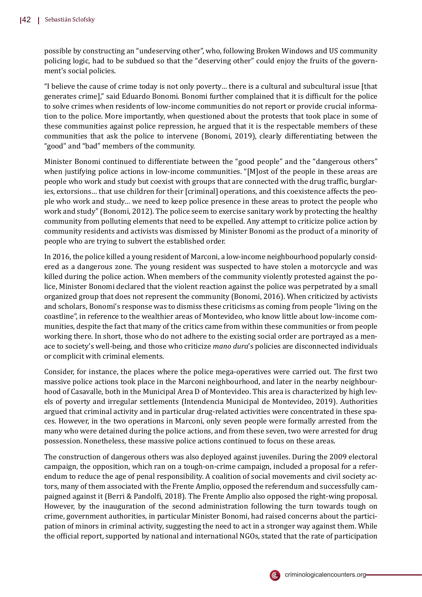possible by constructing an "undeserving other", who, following Broken Windows and US community policing logic, had to be subdued so that the "deserving other" could enjoy the fruits of the government's social policies.

"I believe the cause of crime today is not only poverty… there is a cultural and subcultural issue [that generates crime]," said Eduardo Bonomi. Bonomi further complained that it is difficult for the police to solve crimes when residents of low-income communities do not report or provide crucial information to the police. More importantly, when questioned about the protests that took place in some of these communities against police repression, he argued that it is the respectable members of these communities that ask the police to intervene (Bonomi, 2019), clearly differentiating between the "good" and "bad" members of the community.

Minister Bonomi continued to differentiate between the "good people" and the "dangerous others" when justifying police actions in low-income communities. "[M]ost of the people in these areas are people who work and study but coexist with groups that are connected with the drug traffic, burglaries, extorsions… that use children for their [criminal] operations, and this coexistence affects the people who work and study… we need to keep police presence in these areas to protect the people who work and study" (Bonomi, 2012). The police seem to exercise sanitary work by protecting the healthy community from polluting elements that need to be expelled. Any attempt to criticize police action by community residents and activists was dismissed by Minister Bonomi as the product of a minority of people who are trying to subvert the established order.

In 2016, the police killed a young resident of Marconi, a low-income neighbourhood popularly considered as a dangerous zone. The young resident was suspected to have stolen a motorcycle and was killed during the police action. When members of the community violently protested against the police, Minister Bonomi declared that the violent reaction against the police was perpetrated by a small organized group that does not represent the community (Bonomi, 2016). When criticized by activists and scholars, Bonomi's response was to dismiss these criticisms as coming from people "living on the coastline", in reference to the wealthier areas of Montevideo, who know little about low-income communities, despite the fact that many of the critics came from within these communities or from people working there. In short, those who do not adhere to the existing social order are portrayed as a menace to society's well-being, and those who criticize *mano dura*'s policies are disconnected individuals or complicit with criminal elements.

Consider, for instance, the places where the police mega-operatives were carried out. The �irst two massive police actions took place in the Marconi neighbourhood, and later in the nearby neighbourhood of Casavalle, both in the Municipal Area D of Montevideo. This area is characterized by high levels of poverty and irregular settlements (Intendencia Municipal de Montevideo, 2019). Authorities argued that criminal activity and in particular drug-related activities were concentrated in these spaces. However, in the two operations in Marconi, only seven people were formally arrested from the many who were detained during the police actions, and from these seven, two were arrested for drug possession. Nonetheless, these massive police actions continued to focus on these areas.

The construction of dangerous others was also deployed against juveniles. During the 2009 electoral campaign, the opposition, which ran on a tough-on-crime campaign, included a proposal for a referendum to reduce the age of penal responsibility. A coalition of social movements and civil society actors, many of them associated with the Frente Amplio, opposed the referendum and successfully campaigned against it (Berri & Pandol�i, 2018). The Frente Amplio also opposed the right-wing proposal. However, by the inauguration of the second administration following the turn towards tough on crime, government authorities, in particular Minister Bonomi, had raised concerns about the participation of minors in criminal activity, suggesting the need to act in a stronger way against them. While the of�icial report, supported by national and international NGOs, stated that the rate of participation

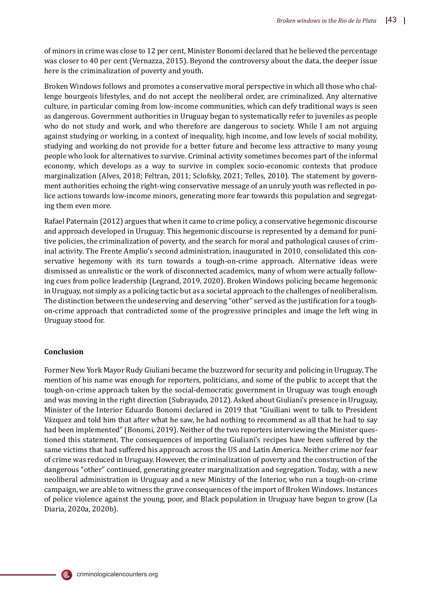of minors in crime was close to 12 per cent, Minister Bonomi declared that he believed the percentage was closer to 40 per cent (Vernazza, 2015). Beyond the controversy about the data, the deeper issue here is the criminalization of poverty and youth.

Broken Windows follows and promotes a conservative moral perspective in which all those who challenge bourgeois lifestyles, and do not accept the neoliberal order, are criminalized. Any alternative culture, in particular coming from low-income communities, which can defy traditional ways is seen as dangerous. Government authorities in Uruguay began to systematically refer to juveniles as people who do not study and work, and who therefore are dangerous to society. While I am not arguing against studying or working, in a context of inequality, high income, and low levels of social mobility, studying and working do not provide for a better future and become less attractive to many young people who look for alternatives to survive. Criminal activity sometimes becomes part of the informal economy, which develops as a way to survive in complex socio-economic contexts that produce marginalization (Alves, 2018; Feltran, 2011; Sclofsky, 2021; Telles, 2010). The statement by government authorities echoing the right-wing conservative message of an unruly youth was reflected in police actions towards low-income minors, generating more fear towards this population and segregating them even more.

Rafael Paternain (2012) argues that when it came to crime policy, a conservative hegemonic discourse and approach developed in Uruguay. This hegemonic discourse is represented by a demand for punitive policies, the criminalization of poverty, and the search for moral and pathological causes of criminal activity. The Frente Amplio's second administration, inaugurated in 2010, consolidated this conservative hegemony with its turn towards a tough-on-crime approach. Alternative ideas were dismissed as unrealistic or the work of disconnected academics, many of whom were actually following cues from police leadership (Legrand, 2019, 2020). Broken Windows policing became hegemonic in Uruguay, not simply as a policing tactic but as a societal approach to the challenges of neoliberalism. The distinction between the undeserving and deserving "other" served as the justification for a toughon-crime approach that contradicted some of the progressive principles and image the left wing in Uruguay stood for.

## **Conclusion**

(Ē,

Former New York Mayor Rudy Giuliani became the buzzword for security and policing in Uruguay. The mention of his name was enough for reporters, politicians, and some of the public to accept that the tough-on-crime approach taken by the social-democratic government in Uruguay was tough enough and was moving in the right direction (Subrayado, 2012). Asked about Giuliani's presence in Uruguay, Minister of the Interior Eduardo Bonomi declared in 2019 that "Giuiliani went to talk to President Vázquez and told him that after what he saw, he had nothing to recommend as all that he had to say had been implemented" (Bonomi, 2019). Neither of the two reporters interviewing the Minister questioned this statement. The consequences of importing Giuliani's recipes have been suffered by the same victims that had suffered his approach across the US and Latin America. Neither crime nor fear of crime was reduced in Uruguay. However, the criminalization of poverty and the construction of the dangerous "other" continued, generating greater marginalization and segregation. Today, with a new neoliberal administration in Uruguay and a new Ministry of the Interior, who run a tough-on-crime campaign, we are able to witness the grave consequences of the import of Broken Windows. Instances of police violence against the young, poor, and Black population in Uruguay have begun to grow (La Diaria, 2020a, 2020b).

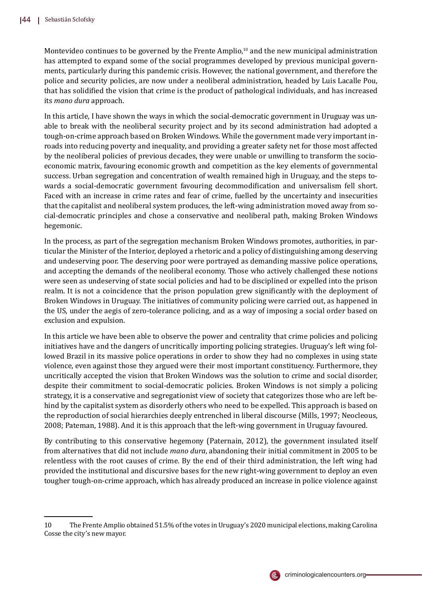Montevideo continues to be governed by the Frente Amplio, $10$  and the new municipal administration has attempted to expand some of the social programmes developed by previous municipal governments, particularly during this pandemic crisis. However, the national government, and therefore the police and security policies, are now under a neoliberal administration, headed by Luis Lacalle Pou, that has solidi�ied the vision that crime is the product of pathological individuals, and has increased its *mano dura* approach.

In this article, I have shown the ways in which the social-democratic government in Uruguay was unable to break with the neoliberal security project and by its second administration had adopted a tough-on-crime approach based on Broken Windows. While the government made very important inroads into reducing poverty and inequality, and providing a greater safety net for those most affected by the neoliberal policies of previous decades, they were unable or unwilling to transform the socioeconomic matrix, favouring economic growth and competition as the key elements of governmental success. Urban segregation and concentration of wealth remained high in Uruguay, and the steps towards a social-democratic government favouring decommodification and universalism fell short. Faced with an increase in crime rates and fear of crime, fuelled by the uncertainty and insecurities that the capitalist and neoliberal system produces, the left-wing administration moved away from social-democratic principles and chose a conservative and neoliberal path, making Broken Windows hegemonic.

In the process, as part of the segregation mechanism Broken Windows promotes, authorities, in particular the Minister of the Interior, deployed a rhetoric and a policy of distinguishing among deserving and undeserving poor. The deserving poor were portrayed as demanding massive police operations, and accepting the demands of the neoliberal economy. Those who actively challenged these notions were seen as undeserving of state social policies and had to be disciplined or expelled into the prison realm. It is not a coincidence that the prison population grew significantly with the deployment of Broken Windows in Uruguay. The initiatives of community policing were carried out, as happened in the US, under the aegis of zero-tolerance policing, and as a way of imposing a social order based on exclusion and expulsion.

In this article we have been able to observe the power and centrality that crime policies and policing initiatives have and the dangers of uncritically importing policing strategies. Uruguay's left wing followed Brazil in its massive police operations in order to show they had no complexes in using state violence, even against those they argued were their most important constituency. Furthermore, they uncritically accepted the vision that Broken Windows was the solution to crime and social disorder, despite their commitment to social-democratic policies. Broken Windows is not simply a policing strategy, it is a conservative and segregationist view of society that categorizes those who are left behind by the capitalist system as disorderly others who need to be expelled. This approach is based on the reproduction of social hierarchies deeply entrenched in liberal discourse (Mills, 1997; Neocleous, 2008; Pateman, 1988). And it is this approach that the left-wing government in Uruguay favoured.

By contributing to this conservative hegemony (Paternain, 2012), the government insulated itself from alternatives that did not include *mano dura*, abandoning their initial commitment in 2005 to be relentless with the root causes of crime. By the end of their third administration, the left wing had provided the institutional and discursive bases for the new right-wing government to deploy an even tougher tough-on-crime approach, which has already produced an increase in police violence against



<sup>10</sup> The Frente Amplio obtained 51.5% of the votes in Uruguay's 2020 municipal elections, making Carolina Cosse the city's new mayor.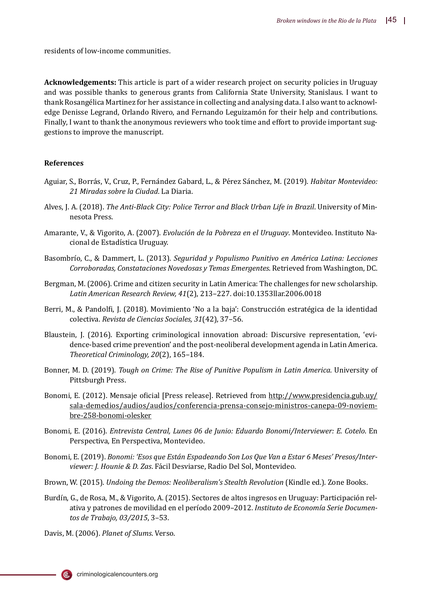residents of low-income communities.

**Acknowledgements:** This article is part of a wider research project on security policies in Uruguay and was possible thanks to generous grants from California State University, Stanislaus. I want to thank Rosangélica Martinez for her assistance in collecting and analysing data. I also want to acknowledge Denisse Legrand, Orlando Rivero, and Fernando Leguizamón for their help and contributions. Finally, I want to thank the anonymous reviewers who took time and effort to provide important suggestions to improve the manuscript.

#### **References**

- Aguiar, S., Borrás, V., Cruz, P., Fernández Gabard, L., & Pérez Sánchez, M. (2019). *Habitar Montevideo: 21 Miradas sobre la Ciudad*. La Diaria.
- Alves, J. A. (2018). *The Anti-Black City: Police Terror and Black Urban Life in Brazil*. University of Minnesota Press.
- Amarante, V., & Vigorito, A. (2007). *Evolución de la Pobreza en el Uruguay*. Montevideo. Instituto Nacional de Estadística Uruguay.
- Basombrío, C., & Dammert, L. (2013). *Seguridad y Populismo Punitivo en América Latina: Lecciones Corroboradas, Constataciones Novedosas y Temas Emergentes*. Retrieved from Washington, DC.
- Bergman, M. (2006). Crime and citizen security in Latin America: The challenges for new scholarship. *Latin American Research Review, 41*(2), 213–227. doi:10.1353llar.2006.0018
- Berri, M., & Pandolfi, J. (2018). Movimiento 'No a la baja': Construcción estratégica de la identidad colectiva. *Revista de Ciencias Sociales, 31*(42), 37–56.
- Blaustein, J. (2016). Exporting criminological innovation abroad: Discursive representation, 'evidence-based crime prevention' and the post-neoliberal development agenda in Latin America. *Theoretical Criminology, 20*(2), 165–184.
- Bonner, M. D. (2019). *Tough on Crime: The Rise of Punitive Populism in Latin America*. University of Pittsburgh Press.
- Bonomi, E. (2012). Mensaje o�icial [Press release]. Retrieved from http://www.presidencia.gub.uy/ sala-demedios/audios/audios/conferencia-prensa-consejo-ministros-canepa-09-noviembre-258-bonomi-olesker
- Bonomi, E. (2016). *Entrevista Central, Lunes 06 de Junio: Eduardo Bonomi/Interviewer: E. Cotelo*. En Perspectiva, En Perspectiva, Montevideo.
- Bonomi, E. (2019). *Bonomi: 'Esos que Están Espadeando Son Los Que Van a Estar 6 Meses' Presos/Interviewer: J. Hounie & D. Zas*. Fácil Desviarse, Radio Del Sol, Montevideo.
- Brown, W. (2015). *Undoing the Demos: Neoliberalism's Stealth Revolution* (Kindle ed.). Zone Books.
- Burdín, G., de Rosa, M., & Vigorito, A. (2015). Sectores de altos ingresos en Uruguay: Participación relativa y patrones de movilidad en el perı́odo 2009–2012. *Instituto de Economía Serie Documentos de Trabajo, 03/2015*, 3–53.

Davis, M. (2006). *Planet of Slums*. Verso.

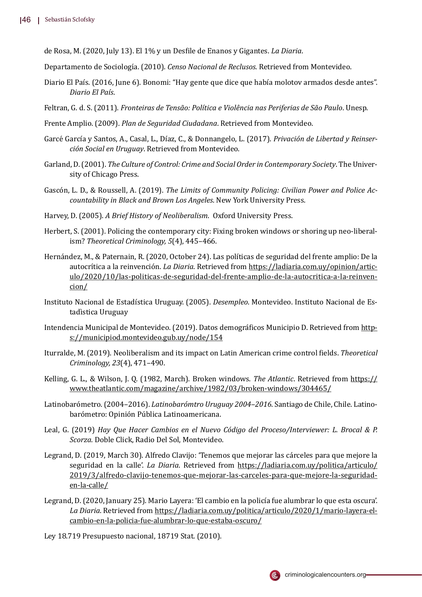de Rosa, M. (2020, July 13). El 1% y un Des�ile de Enanos y Gigantes. *La Diaria*.

Departamento de Sociología. (2010). *Censo Nacional de Reclusos*. Retrieved from Montevideo.

- Diario El Paı́s. (2016, June 6). Bonomi: "Hay gente que dice que habı́a molotov armados desde antes". *Diario El País*.
- Feltran, G. d. S. (2011). *Fronteiras de Tensão: Política e Violência nas Periferias de São Paulo*. Unesp.
- Frente Amplio. (2009). *Plan de Seguridad Ciudadana*. Retrieved from Montevideo.
- Garcé García y Santos, A., Casal, L., Díaz, C., & Donnangelo, L. (2017). *Privación de Libertad y Reinserción Social en Uruguay*. Retrieved from Montevideo.
- Garland, D. (2001). *The Culture of Control: Crime and Social Order in Contemporary Society*. The University of Chicago Press.
- Gascó n, L. D., & Roussell, A. (2019). *The Limits of Community Policing: Civilian Power and Police Accountability in Black and Brown Los Angeles*. New York University Press.
- Harvey, D. (2005). *A Brief History of Neoliberalism*. Oxford University Press.
- Herbert, S. (2001). Policing the contemporary city: Fixing broken windows or shoring up neo-liberalism? *Theoretical Criminology, 5*(4), 445–466.
- Hernández, M., & Paternain, R. (2020, October 24). Las políticas de seguridad del frente amplio: De la autocrítica a la reinvención. *La Diaria*. Retrieved from https://ladiaria.com.uy/opinion/articulo/2020/10/las-politicas-de-seguridad-del-frente-amplio-de-la-autocritica-a-la-reinvencion/
- Instituto Nacional de Estadı́stica Uruguay. (2005). *Desempleo*. Montevideo. Instituto Nacional de Estadı̀stica Uruguay
- Intendencia Municipal de Montevideo. (2019). Datos demográficos Municipio D. Retrieved from https://municipiod.montevideo.gub.uy/node/154
- Iturralde, M. (2019). Neoliberalism and its impact on Latin American crime control �ields. *Theoretical Criminology, 23*(4), 471–490.
- Kelling, G. L., & Wilson, J. Q. (1982, March). Broken windows. *The Atlantic*. Retrieved from https:// www.theatlantic.com/magazine/archive/1982/03/broken-windows/304465/
- Latinobarómetro. (2004–2016). *Latinobarómtro Uruguay 2004–2016*. Santiago de Chile, Chile. Latinobarómetro: Opinión Pública Latinoamericana.
- Leal, G. (2019) *Hay Que Hacer Cambios en el Nuevo Código del Proceso/Interviewer: L. Brocal & P. Scorza*. Doble Click, Radio Del Sol, Montevideo.
- Legrand, D. (2019, March 30). Alfredo Clavijo: 'Tenemos que mejorar las cárceles para que mejore la seguridad en la calle'. *La Diaria*. Retrieved from https://ladiaria.com.uy/politica/articulo/ 2019/3/alfredo-clavijo-tenemos-que-mejorar-las-carceles-para-que-mejore-la-seguridaden-la-calle/
- Legrand, D. (2020, January 25). Mario Layera: 'El cambio en la policía fue alumbrar lo que esta oscura'. *La Diaria*. Retrieved from https://ladiaria.com.uy/politica/articulo/2020/1/mario-layera-elcambio-en-la-policia-fue-alumbrar-lo-que-estaba-oscuro/
- Ley 18.719 Presupuesto nacional, 18719 Stat. (2010).

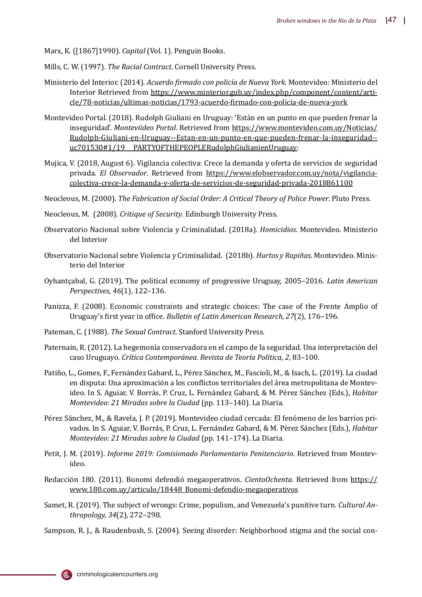Marx, K. ([1867]1990). *Capital* (Vol. 1). Penguin Books.

- Mills, C. W. (1997). *The Racial Contract*. Cornell University Press.
- Ministerio del Interior. (2014). *Acuerdo �irmado con policía de Nueva York*. Montevideo: Ministerio del Interior Retrieved from https://www.minterior.gub.uy/index.php/component/content/article/78-noticias/ultimas-noticias/1793-acuerdo-�irmado-con-policia-de-nueva-york
- Montevideo Portal. (2018). Rudolph Giuliani en Uruguay: 'Están en un punto en que pueden frenar la inseguridad'. *Monteviideo Portal*. Retrieved from https://www.montevideo.com.uy/Noticias/ Rudolph-Giuliani-en-Uruguay--Estan-en-un-punto-en-que-pueden-frenar-la-inseguridad- uc701530#1/19\_\_PARTYOFTHEPEOPLERudolphGiulianienUruguay:
- Mujica, V. (2018, August 6). Vigilancia colectiva: Crece la demanda y oferta de servicios de seguridad privada. *El Observador*. Retrieved from https://www.elobservador.com.uy/nota/vigilanciacolectiva-crece-la-demanda-y-oferta-de-servicios-de-seguridad-privada-2018861100
- Neocleous, M. (2000). *The Fabrication of Social Order: A Critical Theory of Police Power*. Pluto Press.
- Neocleous, M. (2008). *Critique of Security*. Edinburgh University Press.
- Observatorio Nacional sobre Violencia y Criminalidad. (2018a). *Homicidios*. Montevideo. Ministerio del Interior
- Observatorio Nacional sobre Violencia y Criminalidad. (2018b). *Hurtos y Rapiñas*. Montevideo. Ministerio del Interior
- Oyhantçabal, G. (2019). The political economy of progressive Uruguay, 2005–2016. *Latin American Perspectives, 46*(1), 122–136.
- Panizza, F. (2008). Economic constraints and strategic choices: The case of the Frente Amplio of Uruguay's �irst year in of�ice. *Bulletin of Latin American Research, 27*(2), 176–196.
- Pateman, C. (1988). *The Sexual Contract*. Stanford University Press.
- Paternain, R. (2012). La hegemonı́a conservadora en el campo de la seguridad. Una interpretació n del caso Uruguayo. *Crítica Contemporánea. Revista de Teoría Política, 2*, 83–100.
- Patiño, L., Gomes, F., Fernández Gabard, L., Pérez Sánchez, M., Fascioli, M., & Isach, L. (2019). La ciudad en disputa: Una aproximación a los conflictos territoriales del área metropolitana de Montevideo. In S. Aguiar, V. Borrás, P. Cruz, L. Fernández Gabard, & M. Pérez Sánchez (Eds.), *Habitar Montevideo: 21 Miradas sobre la Ciudad* (pp. 113–140). La Diaria.
- Pérez Sánchez, M., & Ravela, J. P. (2019). Montevideo ciudad cercada: El fenómeno de los barrios privados. In S. Aguiar, V. Borrás, P. Cruz, L. Fernández Gabard, & M. Pérez Sánchez (Eds.), *Habitar Montevideo: 21 Miradas sobre la Ciudad* (pp. 141–174). La Diaria.
- Petit, J. M. (2019). *Informe 2019: Comisionado Parlamentario Penitenciario*. Retrieved from Montevideo.
- Redacción 180. (2011). Bonomi defendió megaoperativos. *CientoOchenta*. Retrieved from https:// www.180.com.uy/articulo/18448\_Bonomi-defendio-megaoperativos
- Samet, R. (2019). The subject of wrongs: Crime, populism, and Venezuela's punitive turn. *Cultural Anthropology, 34*(2), 272–298.
- Sampson, R. J., & Raudenbush, S. (2004). Seeing disorder: Neighborhood stigma and the social con-

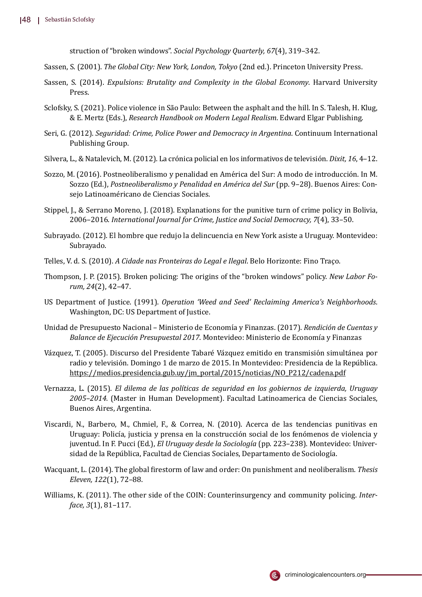struction of "broken windows". *Social Psychology Quarterly, 67*(4), 319–342.

- Sassen, S. (2001). *The Global City: New York, London, Tokyo* (2nd ed.). Princeton University Press.
- Sassen, S. (2014). *Expulsions: Brutality and Complexity in the Global Economy*. Harvard University Press.
- Sclofsky, S. (2021). Police violence in São Paulo: Between the asphalt and the hill. In S. Talesh, H. Klug, & E. Mertz (Eds.), *Research Handbook on Modern Legal Realism*. Edward Elgar Publishing.
- Seri, G. (2012). *Seguridad: Crime, Police Power and Democracy in Argentina*. Continuum International Publishing Group.
- Silvera, L., & Natalevich, M. (2012). La cró nica policial en los informativos de televisió n. *Dixit, 16*, 4–12.
- Sozzo, M. (2016). Postneoliberalismo y penalidad en América del Sur: A modo de introducción. In M. Sozzo (Ed.), *Postneoliberalismo y Penalidad en América del Sur* (pp. 9–28). Buenos Aires: Consejo Latinoaméricano de Ciencias Sociales.
- Stippel, J., & Serrano Moreno, J. (2018). Explanations for the punitive turn of crime policy in Bolivia, 2006–2016. *International Journal for Crime, Justice and Social Democracy, 7*(4), 33–50.
- Subrayado. (2012). El hombre que redujo la delincuencia en New York asiste a Uruguay. Montevideo: Subrayado.
- Telles, V. d. S. (2010). *A Cidade nas Fronteiras do Legal e Ilegal*. Belo Horizonte: Fino Traço.
- Thompson, J. P. (2015). Broken policing: The origins of the "broken windows" policy. *New Labor Forum, 24*(2), 42–47.
- US Department of Justice. (1991). *Operation 'Weed and Seed' Reclaiming America's Neighborhoods*. Washington, DC: US Department of Justice.
- Unidad de Presupuesto Nacional Ministerio de Economı́a y Finanzas. (2017). *Rendición de Cuentas y Balance de Ejecución Presupuestal 2017*. Montevideo: Ministerio de Economía y Finanzas
- Vázquez, T. (2005). Discurso del Presidente Tabaré Vázquez emitido en transmisión simultánea por radio y televisión. Domingo 1 de marzo de 2015. In Montevideo: Presidencia de la República. https://medios.presidencia.gub.uy/jm\_portal/2015/noticias/NO\_P212/cadena.pdf
- Vernazza, L. (2015). *El dilema de las políticas de seguridad en los gobiernos de izquierda, Uruguay 2005–2014.* (Master in Human Development). Facultad Latinoamerica de Ciencias Sociales, Buenos Aires, Argentina.
- Viscardi, N., Barbero, M., Chmiel, F., & Correa, N. (2010). Acerca de las tendencias punitivas en Uruguay: Policía, justicia y prensa en la construcción social de los fenómenos de violencia y juventud. In F. Pucci (Ed.), *El Uruguay desde la Sociología* (pp. 223–238). Montevideo: Universidad de la República, Facultad de Ciencias Sociales, Departamento de Sociología.
- Wacquant, L. (2014). The global �irestorm of law and order: On punishment and neoliberalism. *Thesis Eleven, 122*(1), 72–88.
- Williams, K. (2011). The other side of the COIN: Counterinsurgency and community policing. *Interface, 3*(1), 81–117.